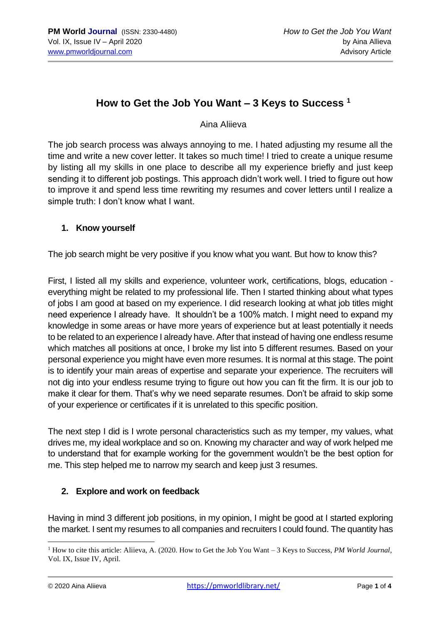# **How to Get the Job You Want – 3 Keys to Success <sup>1</sup>**

Aina Aliieva

The job search process was always annoying to me. I hated adjusting my resume all the time and write a new cover letter. It takes so much time! I tried to create a unique resume by listing all my skills in one place to describe all my experience briefly and just keep sending it to different job postings. This approach didn't work well. I tried to figure out how to improve it and spend less time rewriting my resumes and cover letters until I realize a simple truth: I don't know what I want.

### **1. Know yourself**

The job search might be very positive if you know what you want. But how to know this?

First, I listed all my skills and experience, volunteer work, certifications, blogs, education everything might be related to my professional life. Then I started thinking about what types of jobs I am good at based on my experience. I did research looking at what job titles might need experience I already have. It shouldn't be a 100% match. I might need to expand my knowledge in some areas or have more years of experience but at least potentially it needs to be related to an experience I already have. After that instead of having one endless resume which matches all positions at once, I broke my list into 5 different resumes. Based on your personal experience you might have even more resumes. It is normal at this stage. The point is to identify your main areas of expertise and separate your experience. The recruiters will not dig into your endless resume trying to figure out how you can fit the firm. It is our job to make it clear for them. That's why we need separate resumes. Don't be afraid to skip some of your experience or certificates if it is unrelated to this specific position.

The next step I did is I wrote personal characteristics such as my temper, my values, what drives me, my ideal workplace and so on. Knowing my character and way of work helped me to understand that for example working for the government wouldn't be the best option for me. This step helped me to narrow my search and keep just 3 resumes.

## **2. Explore and work on feedback**

Having in mind 3 different job positions, in my opinion, I might be good at I started exploring the market. I sent my resumes to all companies and recruiters I could found. The quantity has

<sup>1</sup> How to cite this article: Aliieva, A. (2020. How to Get the Job You Want – 3 Keys to Success, *PM World Journal*, Vol. IX, Issue IV, April.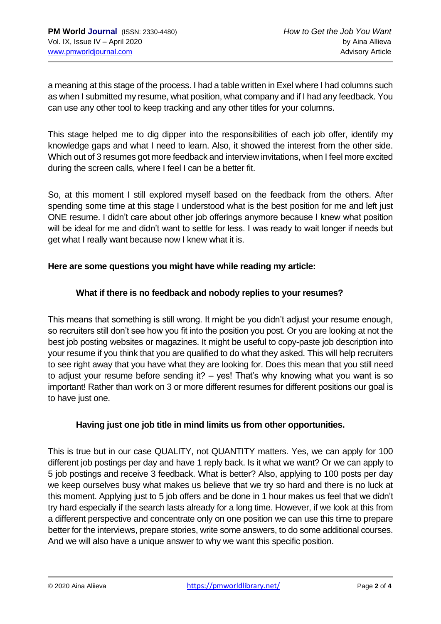a meaning at this stage of the process. I had a table written in Exel where I had columns such as when I submitted my resume, what position, what company and if I had any feedback. You can use any other tool to keep tracking and any other titles for your columns.

This stage helped me to dig dipper into the responsibilities of each job offer, identify my knowledge gaps and what I need to learn. Also, it showed the interest from the other side. Which out of 3 resumes got more feedback and interview invitations, when I feel more excited during the screen calls, where I feel I can be a better fit.

So, at this moment I still explored myself based on the feedback from the others. After spending some time at this stage I understood what is the best position for me and left just ONE resume. I didn't care about other job offerings anymore because I knew what position will be ideal for me and didn't want to settle for less. I was ready to wait longer if needs but get what I really want because now I knew what it is.

### **Here are some questions you might have while reading my article:**

### **What if there is no feedback and nobody replies to your resumes?**

This means that something is still wrong. It might be you didn't adjust your resume enough, so recruiters still don't see how you fit into the position you post. Or you are looking at not the best job posting websites or magazines. It might be useful to copy-paste job description into your resume if you think that you are qualified to do what they asked. This will help recruiters to see right away that you have what they are looking for. Does this mean that you still need to adjust your resume before sending it? – yes! That's why knowing what you want is so important! Rather than work on 3 or more different resumes for different positions our goal is to have just one.

#### **Having just one job title in mind limits us from other opportunities.**

This is true but in our case QUALITY, not QUANTITY matters. Yes, we can apply for 100 different job postings per day and have 1 reply back. Is it what we want? Or we can apply to 5 job postings and receive 3 feedback. What is better? Also, applying to 100 posts per day we keep ourselves busy what makes us believe that we try so hard and there is no luck at this moment. Applying just to 5 job offers and be done in 1 hour makes us feel that we didn't try hard especially if the search lasts already for a long time. However, if we look at this from a different perspective and concentrate only on one position we can use this time to prepare better for the interviews, prepare stories, write some answers, to do some additional courses. And we will also have a unique answer to why we want this specific position.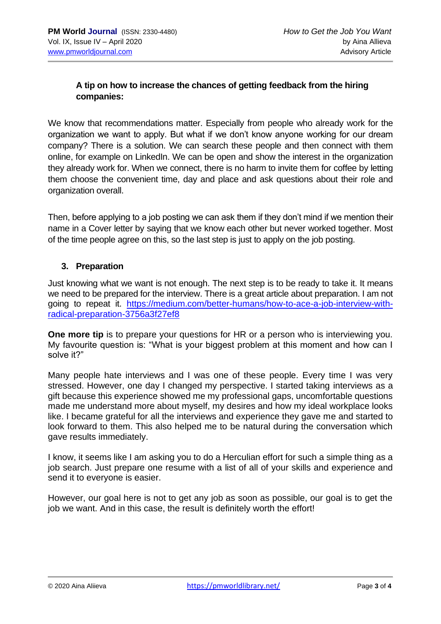## **A tip on how to increase the chances of getting feedback from the hiring companies:**

We know that recommendations matter. Especially from people who already work for the organization we want to apply. But what if we don't know anyone working for our dream company? There is a solution. We can search these people and then connect with them online, for example on LinkedIn. We can be open and show the interest in the organization they already work for. When we connect, there is no harm to invite them for coffee by letting them choose the convenient time, day and place and ask questions about their role and organization overall.

Then, before applying to a job posting we can ask them if they don't mind if we mention their name in a Cover letter by saying that we know each other but never worked together. Most of the time people agree on this, so the last step is just to apply on the job posting.

#### **3. Preparation**

Just knowing what we want is not enough. The next step is to be ready to take it. It means we need to be prepared for the interview. There is a great article about preparation. I am not going to repeat it. [https://medium.com/better-humans/how-to-ace-a-job-interview-with](https://medium.com/better-humans/how-to-ace-a-job-interview-with-radical-preparation-3756a3f27ef8)[radical-preparation-3756a3f27ef8](https://medium.com/better-humans/how-to-ace-a-job-interview-with-radical-preparation-3756a3f27ef8)

**One more tip** is to prepare your questions for HR or a person who is interviewing you. My favourite question is: "What is your biggest problem at this moment and how can I solve it?"

Many people hate interviews and I was one of these people. Every time I was very stressed. However, one day I changed my perspective. I started taking interviews as a gift because this experience showed me my professional gaps, uncomfortable questions made me understand more about myself, my desires and how my ideal workplace looks like. I became grateful for all the interviews and experience they gave me and started to look forward to them. This also helped me to be natural during the conversation which gave results immediately.

I know, it seems like I am asking you to do a Herculian effort for such a simple thing as a job search. Just prepare one resume with a list of all of your skills and experience and send it to everyone is easier.

However, our goal here is not to get any job as soon as possible, our goal is to get the job we want. And in this case, the result is definitely worth the effort!